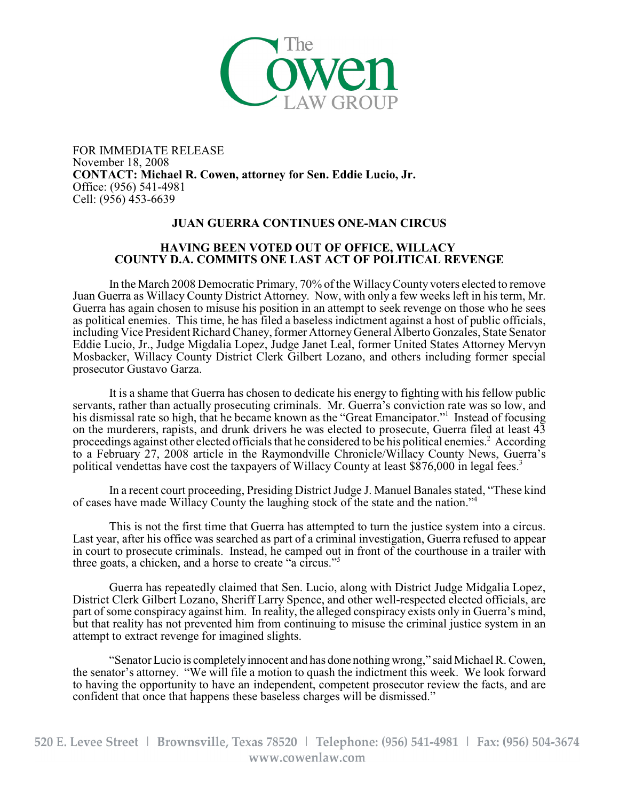

FOR IMMEDIATE RELEASE November 18, 2008 **CONTACT: Michael R. Cowen, attorney for Sen. Eddie Lucio, Jr.** Office: (956) 541-4981 Cell: (956) 453-6639

## **JUAN GUERRA CONTINUES ONE-MAN CIRCUS**

## **HAVING BEEN VOTED OUT OF OFFICE, WILLACY COUNTY D.A. COMMITS ONE LAST ACT OF POLITICAL REVENGE**

In the March 2008 Democratic Primary, 70% of the WillacyCounty voters elected to remove Juan Guerra as Willacy County District Attorney. Now, with only a few weeks left in his term, Mr. Guerra has again chosen to misuse his position in an attempt to seek revenge on those who he sees as political enemies. This time, he has filed a baseless indictment against a host of public officials, including Vice President Richard Chaney, former AttorneyGeneral Alberto Gonzales, State Senator Eddie Lucio, Jr., Judge Migdalia Lopez, Judge Janet Leal, former United States Attorney Mervyn Mosbacker, Willacy County District Clerk Gilbert Lozano, and others including former special prosecutor Gustavo Garza.

It is a shame that Guerra has chosen to dedicate his energy to fighting with his fellow public servants, rather than actually prosecuting criminals. Mr. Guerra's conviction rate was so low, and his dismissal rate so high, that he became known as the "Great Emancipator." Instead of focusing on the murderers, rapists, and drunk drivers he was elected to prosecute, Guerra filed at least 43 proceedings against other elected officials that he considered to be his political enemies.<sup>2</sup> According to a February 27, 2008 article in the Raymondville Chronicle/Willacy County News, Guerra's political vendettas have cost the taxpayers of Willacy County at least \$876,000 in legal fees.<sup>3</sup>

In a recent court proceeding, Presiding District Judge J. Manuel Banales stated, "These kind of cases have made Willacy County the laughing stock of the state and the nation."<sup>4</sup>

This is not the first time that Guerra has attempted to turn the justice system into a circus. Last year, after his office was searched as part of a criminal investigation, Guerra refused to appear in court to prosecute criminals. Instead, he camped out in front of the courthouse in a trailer with three goats, a chicken, and a horse to create "a circus."<sup>5</sup>

Guerra has repeatedly claimed that Sen. Lucio, along with District Judge Midgalia Lopez, District Clerk Gilbert Lozano, Sheriff Larry Spence, and other well-respected elected officials, are part of some conspiracy against him. In reality, the alleged conspiracy exists only in Guerra's mind, but that reality has not prevented him from continuing to misuse the criminal justice system in an attempt to extract revenge for imagined slights.

"Senator Lucio is completely innocent and has done nothing wrong," said Michael R. Cowen, the senator's attorney. "We will file a motion to quash the indictment this week. We look forward to having the opportunity to have an independent, competent prosecutor review the facts, and are confident that once that happens these baseless charges will be dismissed."

520 E. Levee Street | Brownsville, Texas 78520 | Telephone: (956) 541-4981 | Fax: (956) 504-3674 www.cowenlaw.com